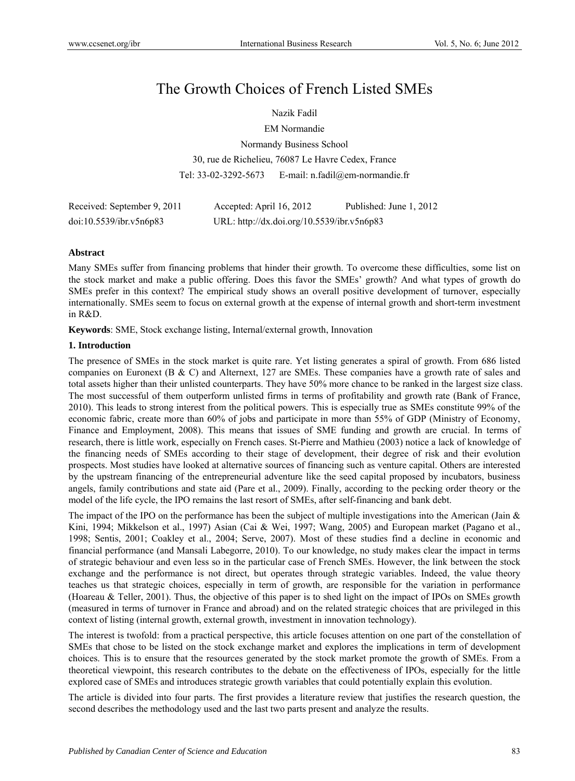# The Growth Choices of French Listed SMEs

Nazik Fadil

EM Normandie

Normandy Business School 30, rue de Richelieu, 76087 Le Havre Cedex, France Tel: 33-02-3292-5673 E-mail: n.fadil@em-normandie.fr

| Received: September 9, 2011 | Accepted: April 16, 2012                   | Published: June 1, 2012 |
|-----------------------------|--------------------------------------------|-------------------------|
| doi:10.5539/ibr.v5n6p83     | URL: http://dx.doi.org/10.5539/ibr.v5n6p83 |                         |

# **Abstract**

Many SMEs suffer from financing problems that hinder their growth. To overcome these difficulties, some list on the stock market and make a public offering. Does this favor the SMEs' growth? And what types of growth do SMEs prefer in this context? The empirical study shows an overall positive development of turnover, especially internationally. SMEs seem to focus on external growth at the expense of internal growth and short-term investment in R&D.

**Keywords**: SME, Stock exchange listing, Internal/external growth, Innovation

#### **1. Introduction**

The presence of SMEs in the stock market is quite rare. Yet listing generates a spiral of growth. From 686 listed companies on Euronext (B & C) and Alternext, 127 are SMEs. These companies have a growth rate of sales and total assets higher than their unlisted counterparts. They have 50% more chance to be ranked in the largest size class. The most successful of them outperform unlisted firms in terms of profitability and growth rate (Bank of France, 2010). This leads to strong interest from the political powers. This is especially true as SMEs constitute 99% of the economic fabric, create more than 60% of jobs and participate in more than 55% of GDP (Ministry of Economy, Finance and Employment, 2008). This means that issues of SME funding and growth are crucial. In terms of research, there is little work, especially on French cases. St-Pierre and Mathieu (2003) notice a lack of knowledge of the financing needs of SMEs according to their stage of development, their degree of risk and their evolution prospects. Most studies have looked at alternative sources of financing such as venture capital. Others are interested by the upstream financing of the entrepreneurial adventure like the seed capital proposed by incubators, business angels, family contributions and state aid (Pare et al., 2009). Finally, according to the pecking order theory or the model of the life cycle, the IPO remains the last resort of SMEs, after self-financing and bank debt.

The impact of the IPO on the performance has been the subject of multiple investigations into the American (Jain & Kini, 1994; Mikkelson et al., 1997) Asian (Cai & Wei, 1997; Wang, 2005) and European market (Pagano et al., 1998; Sentis, 2001; Coakley et al., 2004; Serve, 2007). Most of these studies find a decline in economic and financial performance (and Mansali Labegorre, 2010). To our knowledge, no study makes clear the impact in terms of strategic behaviour and even less so in the particular case of French SMEs. However, the link between the stock exchange and the performance is not direct, but operates through strategic variables. Indeed, the value theory teaches us that strategic choices, especially in term of growth, are responsible for the variation in performance (Hoareau & Teller, 2001). Thus, the objective of this paper is to shed light on the impact of IPOs on SMEs growth (measured in terms of turnover in France and abroad) and on the related strategic choices that are privileged in this context of listing (internal growth, external growth, investment in innovation technology).

The interest is twofold: from a practical perspective, this article focuses attention on one part of the constellation of SMEs that chose to be listed on the stock exchange market and explores the implications in term of development choices. This is to ensure that the resources generated by the stock market promote the growth of SMEs. From a theoretical viewpoint, this research contributes to the debate on the effectiveness of IPOs, especially for the little explored case of SMEs and introduces strategic growth variables that could potentially explain this evolution.

The article is divided into four parts. The first provides a literature review that justifies the research question, the second describes the methodology used and the last two parts present and analyze the results.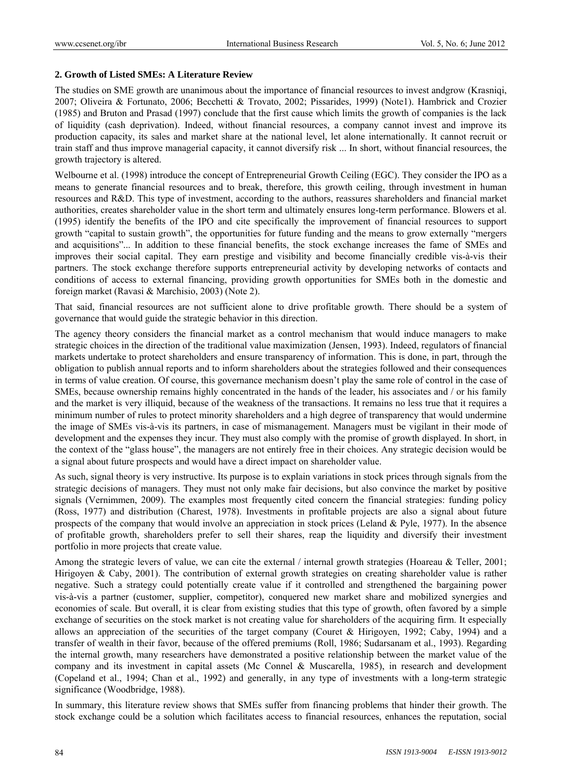#### **2. Growth of Listed SMEs: A Literature Review**

The studies on SME growth are unanimous about the importance of financial resources to invest andgrow (Krasniqi, 2007; Oliveira & Fortunato, 2006; Becchetti & Trovato, 2002; Pissarides, 1999) (Note1). Hambrick and Crozier (1985) and Bruton and Prasad (1997) conclude that the first cause which limits the growth of companies is the lack of liquidity (cash deprivation). Indeed, without financial resources, a company cannot invest and improve its production capacity, its sales and market share at the national level, let alone internationally. It cannot recruit or train staff and thus improve managerial capacity, it cannot diversify risk ... In short, without financial resources, the growth trajectory is altered.

Welbourne et al. (1998) introduce the concept of Entrepreneurial Growth Ceiling (EGC). They consider the IPO as a means to generate financial resources and to break, therefore, this growth ceiling, through investment in human resources and R&D. This type of investment, according to the authors, reassures shareholders and financial market authorities, creates shareholder value in the short term and ultimately ensures long-term performance. Blowers et al. (1995) identify the benefits of the IPO and cite specifically the improvement of financial resources to support growth "capital to sustain growth", the opportunities for future funding and the means to grow externally "mergers and acquisitions"... In addition to these financial benefits, the stock exchange increases the fame of SMEs and improves their social capital. They earn prestige and visibility and become financially credible vis-à-vis their partners. The stock exchange therefore supports entrepreneurial activity by developing networks of contacts and conditions of access to external financing, providing growth opportunities for SMEs both in the domestic and foreign market (Ravasi & Marchisio, 2003) (Note 2).

That said, financial resources are not sufficient alone to drive profitable growth. There should be a system of governance that would guide the strategic behavior in this direction.

The agency theory considers the financial market as a control mechanism that would induce managers to make strategic choices in the direction of the traditional value maximization (Jensen, 1993). Indeed, regulators of financial markets undertake to protect shareholders and ensure transparency of information. This is done, in part, through the obligation to publish annual reports and to inform shareholders about the strategies followed and their consequences in terms of value creation. Of course, this governance mechanism doesn't play the same role of control in the case of SMEs, because ownership remains highly concentrated in the hands of the leader, his associates and / or his family and the market is very illiquid, because of the weakness of the transactions. It remains no less true that it requires a minimum number of rules to protect minority shareholders and a high degree of transparency that would undermine the image of SMEs vis-à-vis its partners, in case of mismanagement. Managers must be vigilant in their mode of development and the expenses they incur. They must also comply with the promise of growth displayed. In short, in the context of the "glass house", the managers are not entirely free in their choices. Any strategic decision would be a signal about future prospects and would have a direct impact on shareholder value.

As such, signal theory is very instructive. Its purpose is to explain variations in stock prices through signals from the strategic decisions of managers. They must not only make fair decisions, but also convince the market by positive signals (Vernimmen, 2009). The examples most frequently cited concern the financial strategies: funding policy (Ross, 1977) and distribution (Charest, 1978). Investments in profitable projects are also a signal about future prospects of the company that would involve an appreciation in stock prices (Leland & Pyle, 1977). In the absence of profitable growth, shareholders prefer to sell their shares, reap the liquidity and diversify their investment portfolio in more projects that create value.

Among the strategic levers of value, we can cite the external / internal growth strategies (Hoareau & Teller, 2001; Hirigoyen & Caby, 2001). The contribution of external growth strategies on creating shareholder value is rather negative. Such a strategy could potentially create value if it controlled and strengthened the bargaining power vis-à-vis a partner (customer, supplier, competitor), conquered new market share and mobilized synergies and economies of scale. But overall, it is clear from existing studies that this type of growth, often favored by a simple exchange of securities on the stock market is not creating value for shareholders of the acquiring firm. It especially allows an appreciation of the securities of the target company (Couret & Hirigoyen, 1992; Caby, 1994) and a transfer of wealth in their favor, because of the offered premiums (Roll, 1986; Sudarsanam et al., 1993). Regarding the internal growth, many researchers have demonstrated a positive relationship between the market value of the company and its investment in capital assets (Mc Connel & Muscarella, 1985), in research and development (Copeland et al., 1994; Chan et al., 1992) and generally, in any type of investments with a long-term strategic significance (Woodbridge, 1988).

In summary, this literature review shows that SMEs suffer from financing problems that hinder their growth. The stock exchange could be a solution which facilitates access to financial resources, enhances the reputation, social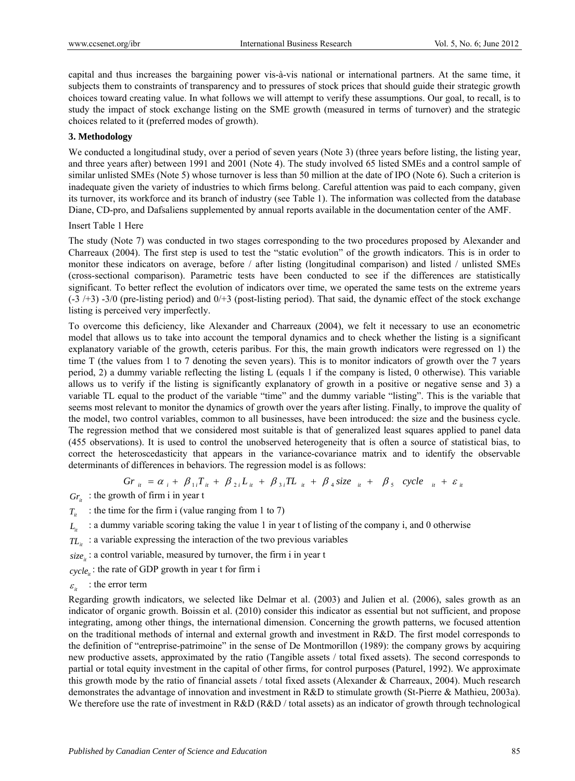capital and thus increases the bargaining power vis-à-vis national or international partners. At the same time, it subjects them to constraints of transparency and to pressures of stock prices that should guide their strategic growth choices toward creating value. In what follows we will attempt to verify these assumptions. Our goal, to recall, is to study the impact of stock exchange listing on the SME growth (measured in terms of turnover) and the strategic choices related to it (preferred modes of growth).

#### **3. Methodology**

We conducted a longitudinal study, over a period of seven years (Note 3) (three years before listing, the listing year, and three years after) between 1991 and 2001 (Note 4). The study involved 65 listed SMEs and a control sample of similar unlisted SMEs (Note 5) whose turnover is less than 50 million at the date of IPO (Note 6). Such a criterion is inadequate given the variety of industries to which firms belong. Careful attention was paid to each company, given its turnover, its workforce and its branch of industry (see Table 1). The information was collected from the database Diane, CD-pro, and Dafsaliens supplemented by annual reports available in the documentation center of the AMF.

Insert Table 1 Here

The study (Note 7) was conducted in two stages corresponding to the two procedures proposed by Alexander and Charreaux (2004). The first step is used to test the "static evolution" of the growth indicators. This is in order to monitor these indicators on average, before  $/$  after listing (longitudinal comparison) and listed  $/$  unlisted SMEs (cross-sectional comparison). Parametric tests have been conducted to see if the differences are statistically significant. To better reflect the evolution of indicators over time, we operated the same tests on the extreme years  $(-3/43)$  -3/0 (pre-listing period) and  $0/43$  (post-listing period). That said, the dynamic effect of the stock exchange listing is perceived very imperfectly.

To overcome this deficiency, like Alexander and Charreaux (2004), we felt it necessary to use an econometric model that allows us to take into account the temporal dynamics and to check whether the listing is a significant explanatory variable of the growth, ceteris paribus. For this, the main growth indicators were regressed on 1) the time T (the values from 1 to 7 denoting the seven years). This is to monitor indicators of growth over the 7 years period, 2) a dummy variable reflecting the listing L (equals 1 if the company is listed, 0 otherwise). This variable allows us to verify if the listing is significantly explanatory of growth in a positive or negative sense and 3) a variable TL equal to the product of the variable "time" and the dummy variable "listing". This is the variable that seems most relevant to monitor the dynamics of growth over the years after listing. Finally, to improve the quality of the model, two control variables, common to all businesses, have been introduced: the size and the business cycle. The regression method that we considered most suitable is that of generalized least squares applied to panel data (455 observations). It is used to control the unobserved heterogeneity that is often a source of statistical bias, to correct the heteroscedasticity that appears in the variance-covariance matrix and to identify the observable determinants of differences in behaviors. The regression model is as follows:

$$
Gr_{ii} = \alpha_i + \beta_{1i}T_{ii} + \beta_{2i}L_{ii} + \beta_{3i}TL_{ii} + \beta_4 size_{ii} + \beta_5 cycle_{ii} + \varepsilon_{ii}
$$

 $Gr_{i}$  : the growth of firm i in year t

- $T_{it}$  : the time for the firm i (value ranging from 1 to 7)
- $L_i$  : a dummy variable scoring taking the value 1 in year t of listing of the company i, and 0 otherwise
- $TL<sub>i</sub>$  : a variable expressing the interaction of the two previous variables

*it size* : a control variable, measured by turnover, the firm i in year t

 $cycle_{ii}$ : the rate of GDP growth in year t for firm i

 $\varepsilon_{ii}$  : the error term

Regarding growth indicators, we selected like Delmar et al. (2003) and Julien et al. (2006), sales growth as an indicator of organic growth. Boissin et al. (2010) consider this indicator as essential but not sufficient, and propose integrating, among other things, the international dimension. Concerning the growth patterns, we focused attention on the traditional methods of internal and external growth and investment in R&D. The first model corresponds to the definition of "entreprise-patrimoine" in the sense of De Montmorillon (1989): the company grows by acquiring new productive assets, approximated by the ratio (Tangible assets / total fixed assets). The second corresponds to partial or total equity investment in the capital of other firms, for control purposes (Paturel, 1992). We approximate this growth mode by the ratio of financial assets / total fixed assets (Alexander & Charreaux, 2004). Much research demonstrates the advantage of innovation and investment in R&D to stimulate growth (St-Pierre & Mathieu, 2003a). We therefore use the rate of investment in R&D (R&D / total assets) as an indicator of growth through technological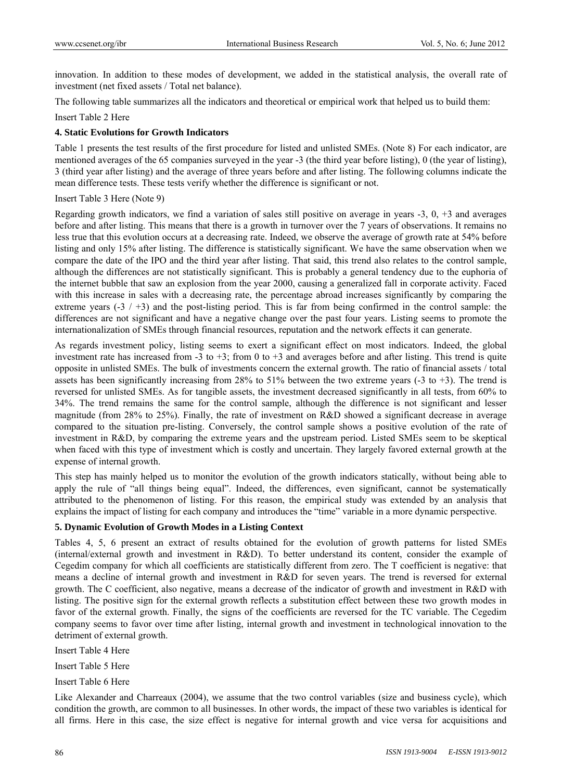innovation. In addition to these modes of development, we added in the statistical analysis, the overall rate of investment (net fixed assets / Total net balance).

The following table summarizes all the indicators and theoretical or empirical work that helped us to build them:

Insert Table 2 Here

# **4. Static Evolutions for Growth Indicators**

Table 1 presents the test results of the first procedure for listed and unlisted SMEs. (Note 8) For each indicator, are mentioned averages of the 65 companies surveyed in the year -3 (the third year before listing), 0 (the year of listing), 3 (third year after listing) and the average of three years before and after listing. The following columns indicate the mean difference tests. These tests verify whether the difference is significant or not.

#### Insert Table 3 Here (Note 9)

Regarding growth indicators, we find a variation of sales still positive on average in years -3, 0, +3 and averages before and after listing. This means that there is a growth in turnover over the 7 years of observations. It remains no less true that this evolution occurs at a decreasing rate. Indeed, we observe the average of growth rate at 54% before listing and only 15% after listing. The difference is statistically significant. We have the same observation when we compare the date of the IPO and the third year after listing. That said, this trend also relates to the control sample, although the differences are not statistically significant. This is probably a general tendency due to the euphoria of the internet bubble that saw an explosion from the year 2000, causing a generalized fall in corporate activity. Faced with this increase in sales with a decreasing rate, the percentage abroad increases significantly by comparing the extreme years  $(-3 / +3)$  and the post-listing period. This is far from being confirmed in the control sample: the differences are not significant and have a negative change over the past four years. Listing seems to promote the internationalization of SMEs through financial resources, reputation and the network effects it can generate.

As regards investment policy, listing seems to exert a significant effect on most indicators. Indeed, the global investment rate has increased from -3 to +3; from 0 to +3 and averages before and after listing. This trend is quite opposite in unlisted SMEs. The bulk of investments concern the external growth. The ratio of financial assets / total assets has been significantly increasing from 28% to 51% between the two extreme years (-3 to +3). The trend is reversed for unlisted SMEs. As for tangible assets, the investment decreased significantly in all tests, from 60% to 34%. The trend remains the same for the control sample, although the difference is not significant and lesser magnitude (from 28% to 25%). Finally, the rate of investment on R&D showed a significant decrease in average compared to the situation pre-listing. Conversely, the control sample shows a positive evolution of the rate of investment in R&D, by comparing the extreme years and the upstream period. Listed SMEs seem to be skeptical when faced with this type of investment which is costly and uncertain. They largely favored external growth at the expense of internal growth.

This step has mainly helped us to monitor the evolution of the growth indicators statically, without being able to apply the rule of "all things being equal". Indeed, the differences, even significant, cannot be systematically attributed to the phenomenon of listing. For this reason, the empirical study was extended by an analysis that explains the impact of listing for each company and introduces the "time" variable in a more dynamic perspective.

#### **5. Dynamic Evolution of Growth Modes in a Listing Context**

Tables 4, 5, 6 present an extract of results obtained for the evolution of growth patterns for listed SMEs (internal/external growth and investment in R&D). To better understand its content, consider the example of Cegedim company for which all coefficients are statistically different from zero. The T coefficient is negative: that means a decline of internal growth and investment in R&D for seven years. The trend is reversed for external growth. The C coefficient, also negative, means a decrease of the indicator of growth and investment in R&D with listing. The positive sign for the external growth reflects a substitution effect between these two growth modes in favor of the external growth. Finally, the signs of the coefficients are reversed for the TC variable. The Cegedim company seems to favor over time after listing, internal growth and investment in technological innovation to the detriment of external growth.

Insert Table 4 Here

Insert Table 5 Here

Insert Table 6 Here

Like Alexander and Charreaux (2004), we assume that the two control variables (size and business cycle), which condition the growth, are common to all businesses. In other words, the impact of these two variables is identical for all firms. Here in this case, the size effect is negative for internal growth and vice versa for acquisitions and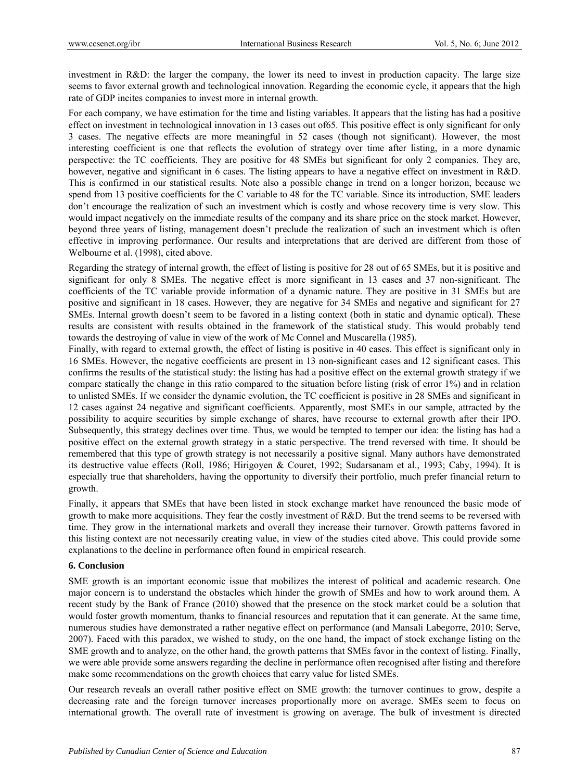investment in R&D: the larger the company, the lower its need to invest in production capacity. The large size seems to favor external growth and technological innovation. Regarding the economic cycle, it appears that the high rate of GDP incites companies to invest more in internal growth.

For each company, we have estimation for the time and listing variables. It appears that the listing has had a positive effect on investment in technological innovation in 13 cases out of65. This positive effect is only significant for only 3 cases. The negative effects are more meaningful in 52 cases (though not significant). However, the most interesting coefficient is one that reflects the evolution of strategy over time after listing, in a more dynamic perspective: the TC coefficients. They are positive for 48 SMEs but significant for only 2 companies. They are, however, negative and significant in 6 cases. The listing appears to have a negative effect on investment in R&D. This is confirmed in our statistical results. Note also a possible change in trend on a longer horizon, because we spend from 13 positive coefficients for the C variable to 48 for the TC variable. Since its introduction, SME leaders don't encourage the realization of such an investment which is costly and whose recovery time is very slow. This would impact negatively on the immediate results of the company and its share price on the stock market. However, beyond three years of listing, management doesn't preclude the realization of such an investment which is often effective in improving performance. Our results and interpretations that are derived are different from those of Welbourne et al. (1998), cited above.

Regarding the strategy of internal growth, the effect of listing is positive for 28 out of 65 SMEs, but it is positive and significant for only 8 SMEs. The negative effect is more significant in 13 cases and 37 non-significant. The coefficients of the TC variable provide information of a dynamic nature. They are positive in 31 SMEs but are positive and significant in 18 cases. However, they are negative for 34 SMEs and negative and significant for 27 SMEs. Internal growth doesn't seem to be favored in a listing context (both in static and dynamic optical). These results are consistent with results obtained in the framework of the statistical study. This would probably tend towards the destroying of value in view of the work of Mc Connel and Muscarella (1985).

Finally, with regard to external growth, the effect of listing is positive in 40 cases. This effect is significant only in 16 SMEs. However, the negative coefficients are present in 13 non-significant cases and 12 significant cases. This confirms the results of the statistical study: the listing has had a positive effect on the external growth strategy if we compare statically the change in this ratio compared to the situation before listing (risk of error 1%) and in relation to unlisted SMEs. If we consider the dynamic evolution, the TC coefficient is positive in 28 SMEs and significant in 12 cases against 24 negative and significant coefficients. Apparently, most SMEs in our sample, attracted by the possibility to acquire securities by simple exchange of shares, have recourse to external growth after their IPO. Subsequently, this strategy declines over time. Thus, we would be tempted to temper our idea: the listing has had a positive effect on the external growth strategy in a static perspective. The trend reversed with time. It should be remembered that this type of growth strategy is not necessarily a positive signal. Many authors have demonstrated its destructive value effects (Roll, 1986; Hirigoyen & Couret, 1992; Sudarsanam et al., 1993; Caby, 1994). It is especially true that shareholders, having the opportunity to diversify their portfolio, much prefer financial return to growth.

Finally, it appears that SMEs that have been listed in stock exchange market have renounced the basic mode of growth to make more acquisitions. They fear the costly investment of R&D. But the trend seems to be reversed with time. They grow in the international markets and overall they increase their turnover. Growth patterns favored in this listing context are not necessarily creating value, in view of the studies cited above. This could provide some explanations to the decline in performance often found in empirical research.

#### **6. Conclusion**

SME growth is an important economic issue that mobilizes the interest of political and academic research. One major concern is to understand the obstacles which hinder the growth of SMEs and how to work around them. A recent study by the Bank of France (2010) showed that the presence on the stock market could be a solution that would foster growth momentum, thanks to financial resources and reputation that it can generate. At the same time, numerous studies have demonstrated a rather negative effect on performance (and Mansali Labegorre, 2010; Serve, 2007). Faced with this paradox, we wished to study, on the one hand, the impact of stock exchange listing on the SME growth and to analyze, on the other hand, the growth patterns that SMEs favor in the context of listing. Finally, we were able provide some answers regarding the decline in performance often recognised after listing and therefore make some recommendations on the growth choices that carry value for listed SMEs.

Our research reveals an overall rather positive effect on SME growth: the turnover continues to grow, despite a decreasing rate and the foreign turnover increases proportionally more on average. SMEs seem to focus on international growth. The overall rate of investment is growing on average. The bulk of investment is directed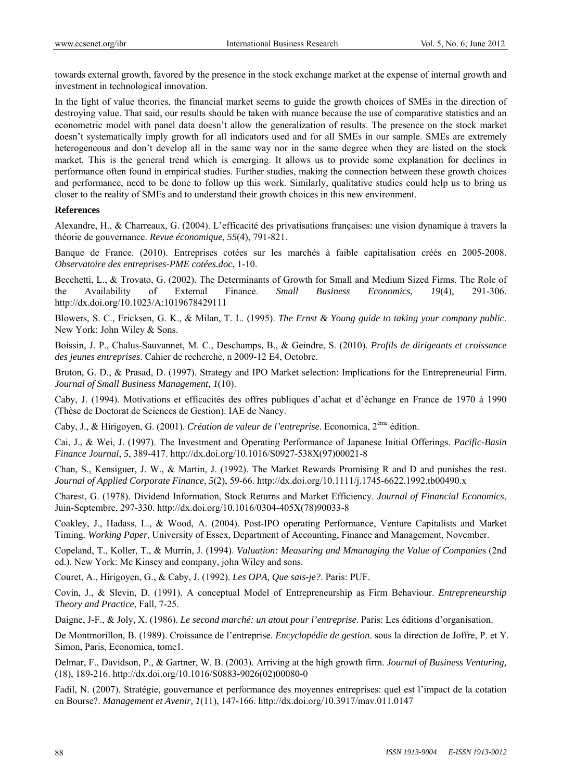towards external growth, favored by the presence in the stock exchange market at the expense of internal growth and investment in technological innovation.

In the light of value theories, the financial market seems to guide the growth choices of SMEs in the direction of destroying value. That said, our results should be taken with nuance because the use of comparative statistics and an econometric model with panel data doesn't allow the generalization of results. The presence on the stock market doesn't systematically imply growth for all indicators used and for all SMEs in our sample. SMEs are extremely heterogeneous and don't develop all in the same way nor in the same degree when they are listed on the stock market. This is the general trend which is emerging. It allows us to provide some explanation for declines in performance often found in empirical studies. Further studies, making the connection between these growth choices and performance, need to be done to follow up this work. Similarly, qualitative studies could help us to bring us closer to the reality of SMEs and to understand their growth choices in this new environment.

#### **References**

Alexandre, H., & Charreaux, G. (2004). L'efficacité des privatisations françaises: une vision dynamique à travers la théorie de gouvernance. *Revue économique, 55*(4), 791-821.

Banque de France. (2010). Entreprises cotées sur les marchés à faible capitalisation créés en 2005-2008. *Observatoire des entreprises-PME cotées.doc*, 1-10.

Becchetti, L., & Trovato, G. (2002). The Determinants of Growth for Small and Medium Sized Firms. The Role of the Availability of External Finance. *Small Business Economics, 19*(4), 291-306. http://dx.doi.org/10.1023/A:1019678429111

Blowers, S. C., Ericksen, G. K., & Milan, T. L. (1995). *The Ernst & Young guide to taking your company public*. New York: John Wiley & Sons.

Boissin, J. P., Chalus-Sauvannet, M. C., Deschamps, B., & Geindre, S. (2010). *Profils de dirigeants et croissance des jeunes entreprises*. Cahier de recherche, n 2009-12 E4, Octobre.

Bruton, G. D., & Prasad, D. (1997). Strategy and IPO Market selection: Implications for the Entrepreneurial Firm. *Journal of Small Business Management, 1*(10).

Caby, J. (1994). Motivations et efficacités des offres publiques d'achat et d'échange en France de 1970 à 1990 (Thèse de Doctorat de Sciences de Gestion). IAE de Nancy.

Caby, J., & Hirigoyen, G. (2001). *Création de valeur de l'entreprise*. Economica, 2ème édition.

Cai, J., & Wei, J. (1997). The Investment and Operating Performance of Japanese Initial Offerings. *Pacific-Basin Finance Journal*, *5*, 389-417. http://dx.doi.org/10.1016/S0927-538X(97)00021-8

Chan, S., Kensiguer, J. W., & Martin, J. (1992). The Market Rewards Promising R and D and punishes the rest. *Journal of Applied Corporate Finance, 5*(2), 59-66. http://dx.doi.org/10.1111/j.1745-6622.1992.tb00490.x

Charest, G. (1978). Dividend Information, Stock Returns and Market Efficiency. *Journal of Financial Economics*, Juin-Septembre, 297-330. http://dx.doi.org/10.1016/0304-405X(78)90033-8

Coakley, J., Hadass, L., & Wood, A. (2004). Post-IPO operating Performance, Venture Capitalists and Market Timing*. Working Paper*, University of Essex, Department of Accounting, Finance and Management, November.

Copeland, T., Koller, T., & Murrin, J. (1994). *Valuation: Measuring and Mmanaging the Value of Companie*s (2nd ed.). New York: Mc Kinsey and company, john Wiley and sons.

Couret, A., Hirigoyen, G., & Caby, J. (1992). *Les OPA, Que sais-je?*. Paris: PUF.

Covin, J., & Slevin, D. (1991). A conceptual Model of Entrepreneurship as Firm Behaviour. *Entrepreneurship Theory and Practice*, Fall, 7-25.

Daigne, J-F., & Joly, X. (1986). *Le second marché: un atout pour l'entreprise*. Paris: Les éditions d'organisation.

De Montmorillon, B. (1989). Croissance de l'entreprise. *Encyclopédie de gestion*. sous la direction de Joffre, P. et Y. Simon, Paris, Economica, tome1.

Delmar, F., Davidson, P., & Gartner, W. B. (2003). Arriving at the high growth firm. *Journal of Business Venturing,* (18), 189-216. http://dx.doi.org/10.1016/S0883-9026(02)00080-0

Fadil, N. (2007). Stratégie, gouvernance et performance des moyennes entreprises: quel est l'impact de la cotation en Bourse?. *Management et Avenir, 1*(11), 147-166. http://dx.doi.org/10.3917/mav.011.0147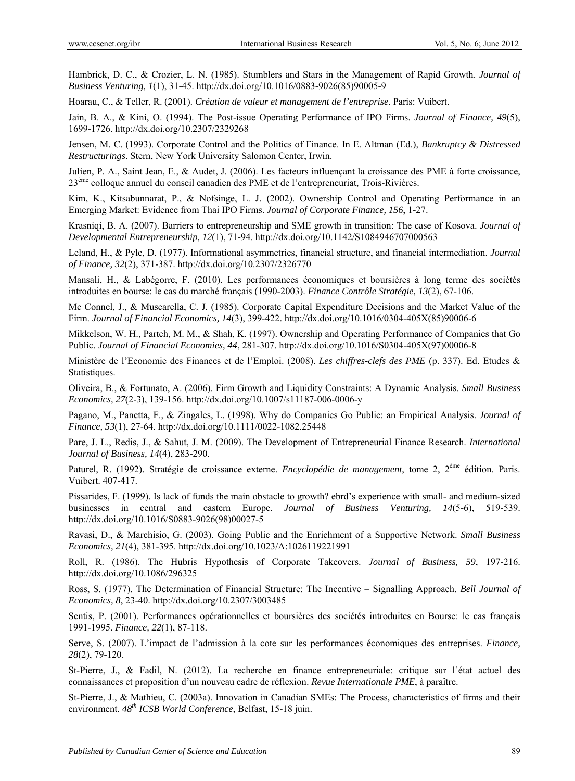Hambrick, D. C., & Crozier, L. N. (1985). Stumblers and Stars in the Management of Rapid Growth. *Journal of Business Venturing, 1*(1), 31-45. http://dx.doi.org/10.1016/0883-9026(85)90005-9

Hoarau, C., & Teller, R. (2001). *Création de valeur et management de l'entreprise*. Paris: Vuibert.

Jain, B. A., & Kini, O. (1994). The Post-issue Operating Performance of IPO Firms. *Journal of Finance, 49*(5), 1699-1726. http://dx.doi.org/10.2307/2329268

Jensen, M. C. (1993). Corporate Control and the Politics of Finance. In E. Altman (Ed.), *Bankruptcy & Distressed Restructurings*. Stern, New York University Salomon Center, Irwin.

Julien, P. A., Saint Jean, E., & Audet, J. (2006). Les facteurs influençant la croissance des PME à forte croissance, 23ème colloque annuel du conseil canadien des PME et de l'entrepreneuriat, Trois-Rivières.

Kim, K., Kitsabunnarat, P., & Nofsinge, L. J. (2002). Ownership Control and Operating Performance in an Emerging Market: Evidence from Thai IPO Firms. *Journal of Corporate Finance, 156*, 1-27.

Krasniqi, B. A. (2007). Barriers to entrepreneurship and SME growth in transition: The case of Kosova. *Journal of Developmental Entrepreneurship, 12*(1), 71-94. http://dx.doi.org/10.1142/S1084946707000563

Leland, H., & Pyle, D. (1977). Informational asymmetries, financial structure, and financial intermediation. *Journal of Finance, 32*(2), 371-387. http://dx.doi.org/10.2307/2326770

Mansali, H., & Labégorre, F. (2010). Les performances économiques et boursières à long terme des sociétés introduites en bourse: le cas du marché français (1990-2003). *Finance Contrôle Stratégie, 13*(2), 67-106.

Mc Connel, J., & Muscarella, C. J. (1985). Corporate Capital Expenditure Decisions and the Market Value of the Firm. *Journal of Financial Economics, 14*(3), 399-422. http://dx.doi.org/10.1016/0304-405X(85)90006-6

Mikkelson, W. H., Partch, M. M., & Shah, K. (1997). Ownership and Operating Performance of Companies that Go Public. *Journal of Financial Economies, 44*, 281-307. http://dx.doi.org/10.1016/S0304-405X(97)00006-8

Ministère de l'Economie des Finances et de l'Emploi. (2008). *Les chiffres-clefs des PME* (p. 337). Ed. Etudes & Statistiques.

Oliveira, B., & Fortunato, A. (2006). Firm Growth and Liquidity Constraints: A Dynamic Analysis. *Small Business Economics, 27*(2-3), 139-156. http://dx.doi.org/10.1007/s11187-006-0006-y

Pagano, M., Panetta, F., & Zingales, L. (1998). Why do Companies Go Public: an Empirical Analysis. *Journal of Finance, 53*(1), 27-64. http://dx.doi.org/10.1111/0022-1082.25448

Pare, J. L., Redis, J., & Sahut, J. M. (2009). The Development of Entrepreneurial Finance Research. *International Journal of Business, 14*(4), 283-290.

Paturel, R. (1992). Stratégie de croissance externe. *Encyclopédie de management*, tome 2, 2ème édition. Paris. Vuibert. 407-417.

Pissarides, F. (1999). Is lack of funds the main obstacle to growth? ebrd's experience with small- and medium-sized businesses in central and eastern Europe. *Journal of Business Venturing, 14*(5-6), 519-539. http://dx.doi.org/10.1016/S0883-9026(98)00027-5

Ravasi, D., & Marchisio, G. (2003). Going Public and the Enrichment of a Supportive Network. *Small Business Economics, 21*(4), 381-395. http://dx.doi.org/10.1023/A:1026119221991

Roll, R. (1986). The Hubris Hypothesis of Corporate Takeovers. *Journal of Business, 59*, 197-216. http://dx.doi.org/10.1086/296325

Ross, S. (1977). The Determination of Financial Structure: The Incentive – Signalling Approach. *Bell Journal of Economics, 8*, 23-40. http://dx.doi.org/10.2307/3003485

Sentis, P. (2001). Performances opérationnelles et boursières des sociétés introduites en Bourse: le cas français 1991-1995. *Finance, 22*(1), 87-118.

Serve, S. (2007). L'impact de l'admission à la cote sur les performances économiques des entreprises. *Finance, 28*(2), 79-120.

St-Pierre, J., & Fadil, N. (2012). La recherche en finance entrepreneuriale: critique sur l'état actuel des connaissances et proposition d'un nouveau cadre de réflexion. *Revue Internationale PME*, à paraître.

St-Pierre, J., & Mathieu, C. (2003a). Innovation in Canadian SMEs: The Process, characteristics of firms and their environment. *48th ICSB World Conference*, Belfast, 15-18 juin.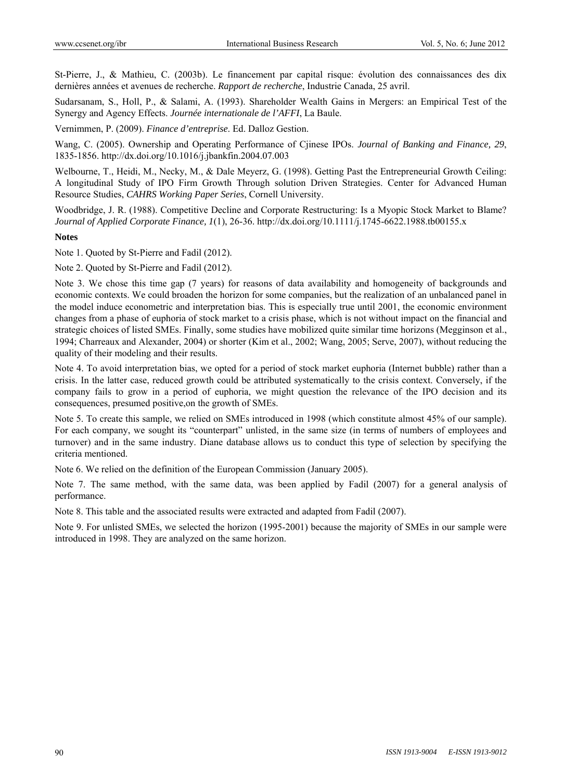St-Pierre, J., & Mathieu, C. (2003b). Le financement par capital risque: évolution des connaissances des dix dernières années et avenues de recherche. *Rapport de recherche*, Industrie Canada, 25 avril.

Sudarsanam, S., Holl, P., & Salami, A. (1993). Shareholder Wealth Gains in Mergers: an Empirical Test of the Synergy and Agency Effects. *Journée internationale de l'AFFI*, La Baule.

Vernimmen, P. (2009). *Finance d'entreprise*. Ed. Dalloz Gestion.

Wang, C. (2005). Ownership and Operating Performance of Cjinese IPOs. *Journal of Banking and Finance, 29*, 1835-1856. http://dx.doi.org/10.1016/j.jbankfin.2004.07.003

Welbourne, T., Heidi, M., Necky, M., & Dale Meyerz, G. (1998). Getting Past the Entrepreneurial Growth Ceiling: A longitudinal Study of IPO Firm Growth Through solution Driven Strategies. Center for Advanced Human Resource Studies, *CAHRS Working Paper Series*, Cornell University.

Woodbridge, J. R. (1988). Competitive Decline and Corporate Restructuring: Is a Myopic Stock Market to Blame? *Journal of Applied Corporate Finance, 1*(1), 26-36. http://dx.doi.org/10.1111/j.1745-6622.1988.tb00155.x

# **Notes**

Note 1. Quoted by St-Pierre and Fadil (2012).

Note 2. Quoted by St-Pierre and Fadil (2012).

Note 3. We chose this time gap (7 years) for reasons of data availability and homogeneity of backgrounds and economic contexts. We could broaden the horizon for some companies, but the realization of an unbalanced panel in the model induce econometric and interpretation bias. This is especially true until 2001, the economic environment changes from a phase of euphoria of stock market to a crisis phase, which is not without impact on the financial and strategic choices of listed SMEs. Finally, some studies have mobilized quite similar time horizons (Megginson et al., 1994; Charreaux and Alexander, 2004) or shorter (Kim et al., 2002; Wang, 2005; Serve, 2007), without reducing the quality of their modeling and their results.

Note 4. To avoid interpretation bias, we opted for a period of stock market euphoria (Internet bubble) rather than a crisis. In the latter case, reduced growth could be attributed systematically to the crisis context. Conversely, if the company fails to grow in a period of euphoria, we might question the relevance of the IPO decision and its consequences, presumed positive,on the growth of SMEs.

Note 5. To create this sample, we relied on SMEs introduced in 1998 (which constitute almost 45% of our sample). For each company, we sought its "counterpart" unlisted, in the same size (in terms of numbers of employees and turnover) and in the same industry. Diane database allows us to conduct this type of selection by specifying the criteria mentioned.

Note 6. We relied on the definition of the European Commission (January 2005).

Note 7. The same method, with the same data, was been applied by Fadil (2007) for a general analysis of performance.

Note 8. This table and the associated results were extracted and adapted from Fadil (2007).

Note 9. For unlisted SMEs, we selected the horizon (1995-2001) because the majority of SMEs in our sample were introduced in 1998. They are analyzed on the same horizon.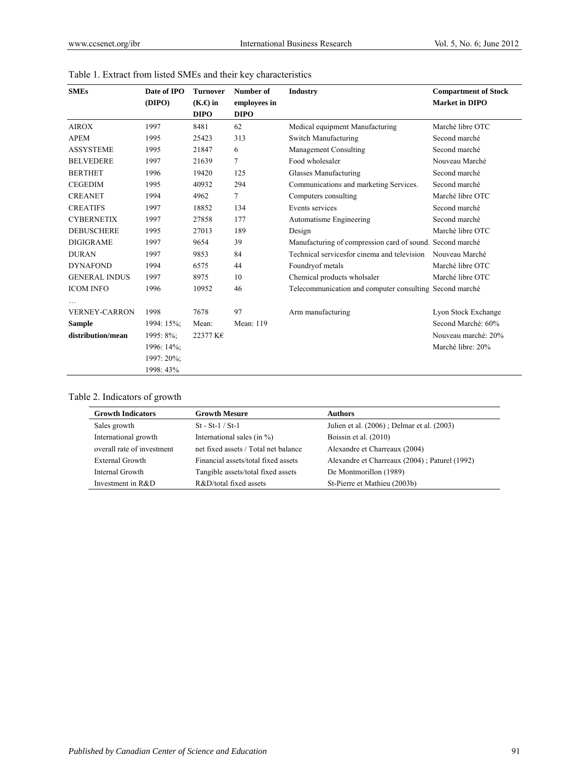| <b>SMEs</b>          | Date of IPO | <b>Turnover</b> | Number of    | <b>Industry</b>                                           | <b>Compartment of Stock</b> |
|----------------------|-------------|-----------------|--------------|-----------------------------------------------------------|-----------------------------|
|                      | (DIPO)      | $(K.\Theta)$ in | employees in |                                                           | <b>Market in DIPO</b>       |
|                      |             | <b>DIPO</b>     | <b>DIPO</b>  |                                                           |                             |
| <b>AIROX</b>         | 1997        | 8481            | 62           | Medical equipment Manufacturing                           | Marché libre OTC            |
| <b>APEM</b>          | 1995        | 25423           | 313          | Switch Manufacturing                                      | Second marché               |
| <b>ASSYSTEME</b>     | 1995        | 21847           | 6            | Management Consulting                                     | Second marché               |
| <b>BELVEDERE</b>     | 1997        | 21639           | 7            | Food wholesaler                                           | Nouveau Marché              |
| <b>BERTHET</b>       | 1996        | 19420           | 125          | Glasses Manufacturing                                     | Second marché               |
| <b>CEGEDIM</b>       | 1995        | 40932           | 294          | Communications and marketing Services.                    | Second marché               |
| <b>CREANET</b>       | 1994        | 4962            | $\tau$       | Computers consulting                                      | Marché libre OTC            |
| <b>CREATIFS</b>      | 1997        | 18852           | 134          | Events services                                           | Second marché               |
| <b>CYBERNETIX</b>    | 1997        | 27858           | 177          | Automatisme Engineering                                   | Second marché               |
| <b>DEBUSCHERE</b>    | 1995        | 27013           | 189          | Design                                                    | Marché libre OTC            |
| <b>DIGIGRAME</b>     | 1997        | 9654            | 39           | Manufacturing of compression card of sound. Second marché |                             |
| <b>DURAN</b>         | 1997        | 9853            | 84           | Technical services for cinema and television              | Nouveau Marché              |
| <b>DYNAFOND</b>      | 1994        | 6575            | 44           | Foundryof metals                                          | Marché libre OTC            |
| <b>GENERAL INDUS</b> | 1997        | 8975            | 10           | Chemical products wholsaler                               | Marché libre OTC            |
| <b>ICOM INFO</b>     | 1996        | 10952           | 46           | Telecommunication and computer consulting Second marché   |                             |
| <b>VERNEY-CARRON</b> | 1998        | 7678            | 97           | Arm manufacturing                                         | Lyon Stock Exchange         |
| <b>Sample</b>        | 1994: 15%;  | Mean:           | Mean: 119    |                                                           | Second Marché: 60%          |
| distribution/mean    | 1995: 8%;   | 22377 K€        |              |                                                           | Nouveau marché: 20%         |
|                      | 1996: 14%;  |                 |              |                                                           | Marché libre: 20%           |
|                      | 1997: 20%;  |                 |              |                                                           |                             |
|                      | 1998: 43%   |                 |              |                                                           |                             |

|  |  |  |  |  |  | Table 1. Extract from listed SMEs and their key characteristics |
|--|--|--|--|--|--|-----------------------------------------------------------------|
|--|--|--|--|--|--|-----------------------------------------------------------------|

| <b>Growth Indicators</b>   | <b>Growth Mesure</b>                 | <b>Authors</b>                                |
|----------------------------|--------------------------------------|-----------------------------------------------|
| Sales growth               | $St - St-1 / St-1$                   | Julien et al. (2006); Delmar et al. (2003)    |
| International growth       | International sales (in $\%$ )       | Boissin et al. (2010)                         |
| overall rate of investment | net fixed assets / Total net balance | Alexandre et Charreaux (2004)                 |
| External Growth            | Financial assets/total fixed assets  | Alexandre et Charreaux (2004); Paturel (1992) |
| Internal Growth            | Tangible assets/total fixed assets   | De Montmorillon (1989)                        |
| Investment in R&D          | R&D/total fixed assets               | St-Pierre et Mathieu (2003b)                  |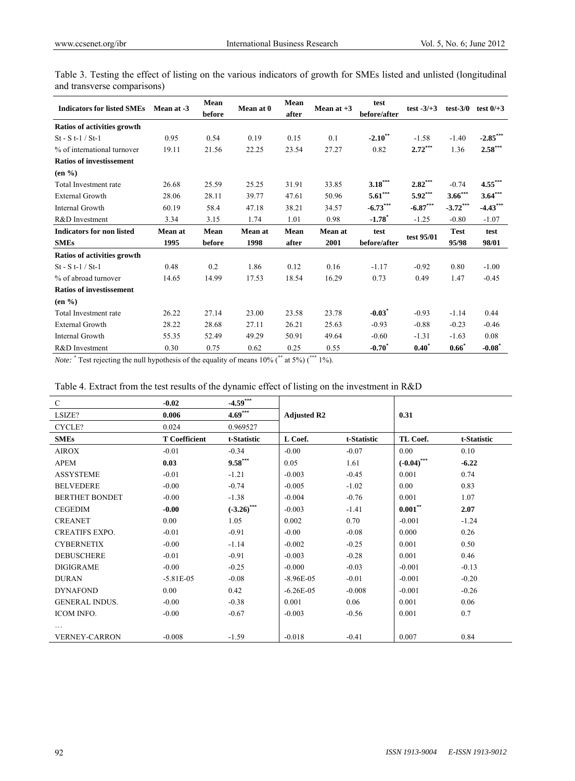| <b>Indicators for listed SMEs</b> | Mean at -3 | Mean<br>before | Mean at 0 | Mean<br>after | Mean at $+3$ | test<br>before/after | test $-3/+3$ | $test-3/0$  | test $0/+3$ |
|-----------------------------------|------------|----------------|-----------|---------------|--------------|----------------------|--------------|-------------|-------------|
| Ratios of activities growth       |            |                |           |               |              |                      |              |             |             |
| $St - St - 1 / St - 1$            | 0.95       | 0.54           | 0.19      | 0.15          | 0.1          | $-2.10**$            | $-1.58$      | $-1.40$     | $-2.85***$  |
| % of international turnover       | 19.11      | 21.56          | 22.25     | 23.54         | 27.27        | 0.82                 | $2.72***$    | 1.36        | $2.58***$   |
| <b>Ratios of investissement</b>   |            |                |           |               |              |                      |              |             |             |
| $(en\%)$                          |            |                |           |               |              |                      |              |             |             |
| Total Investment rate             | 26.68      | 25.59          | 25.25     | 31.91         | 33.85        | $3.18***$            | $2.82***$    | $-0.74$     | $4.55***$   |
| <b>External Growth</b>            | 28.06      | 28.11          | 39.77     | 47.61         | 50.96        | $5.61***$            | $5.92***$    | $3.66***$   | $3.64***$   |
| Internal Growth                   | 60.19      | 58.4           | 47.18     | 38.21         | 34.57        | $-6.73***$           | $-6.87***$   | $-3.72***$  | $-4.43***$  |
| R&D Investment                    | 3.34       | 3.15           | 1.74      | 1.01          | 0.98         | $-1.78$ <sup>*</sup> | $-1.25$      | $-0.80$     | $-1.07$     |
| <b>Indicators for non listed</b>  | Mean at    | Mean           | Mean at   | Mean          | Mean at      | test                 |              | <b>Test</b> | test        |
| <b>SMEs</b>                       | 1995       | before         | 1998      | after         | 2001         | before/after         | test 95/01   | 95/98       | 98/01       |
| Ratios of activities growth       |            |                |           |               |              |                      |              |             |             |
| $St - St - 1 / St - 1$            | 0.48       | 0.2            | 1.86      | 0.12          | 0.16         | $-1.17$              | $-0.92$      | 0.80        | $-1.00$     |
| % of abroad turnover              | 14.65      | 14.99          | 17.53     | 18.54         | 16.29        | 0.73                 | 0.49         | 1.47        | $-0.45$     |
| <b>Ratios of investissement</b>   |            |                |           |               |              |                      |              |             |             |
| $(en\%)$                          |            |                |           |               |              |                      |              |             |             |
| Total Investment rate             | 26.22      | 27.14          | 23.00     | 23.58         | 23.78        | $-0.03$ <sup>*</sup> | $-0.93$      | $-1.14$     | 0.44        |
| <b>External Growth</b>            | 28.22      | 28.68          | 27.11     | 26.21         | 25.63        | $-0.93$              | $-0.88$      | $-0.23$     | $-0.46$     |
| Internal Growth                   | 55.35      | 52.49          | 49.29     | 50.91         | 49.64        | $-0.60$              | $-1.31$      | $-1.63$     | 0.08        |
| R&D Investment                    | 0.30       | 0.75           | 0.62      | 0.25          | 0.55         | $-0.70^*$            | $0.40^*$     | $0.66*$     | $-0.08^*$   |

Table 3. Testing the effect of listing on the various indicators of growth for SMEs listed and unlisted (longitudinal and transverse comparisons)

*Note:* <sup>\*</sup> Test rejecting the null hypothesis of the equality of means 10% (\*\* at 5%) (\*\*\* 1%).

| $\mathbf C$           | $-0.02$              | $-4.59***$    |                    |             |               |             |  |  |
|-----------------------|----------------------|---------------|--------------------|-------------|---------------|-------------|--|--|
| LSIZE?                | 0.006                | $4.69***$     | <b>Adjusted R2</b> |             | 0.31          |             |  |  |
| CYCLE?                | 0.024                | 0.969527      |                    |             |               |             |  |  |
| <b>SMEs</b>           | <b>T</b> Coefficient | t-Statistic   | L Coef.            | t-Statistic | TL Coef.      | t-Statistic |  |  |
| <b>AIROX</b>          | $-0.01$              | $-0.34$       | $-0.00$            | $-0.07$     | 0.00          | 0.10        |  |  |
| <b>APEM</b>           | 0.03                 | $9.58***$     | 0.05               | 1.61        | $(-0.04)$ *** | $-6.22$     |  |  |
| <b>ASSYSTEME</b>      | $-0.01$              | $-1.21$       | $-0.003$           | $-0.45$     | 0.001         | 0.74        |  |  |
| <b>BELVEDERE</b>      | $-0.00$              | $-0.74$       | $-0.005$           | $-1.02$     | 0.00          | 0.83        |  |  |
| <b>BERTHET BONDET</b> | $-0.00$              | $-1.38$       | $-0.004$           | $-0.76$     | 0.001         | 1.07        |  |  |
| <b>CEGEDIM</b>        | $-0.00$              | $(-3.26)$ *** | $-0.003$           | $-1.41$     | $0.001***$    | 2.07        |  |  |
| <b>CREANET</b>        | 0.00                 | 1.05          | 0.002              | 0.70        | $-0.001$      | $-1.24$     |  |  |
| <b>CREATIFS EXPO.</b> | $-0.01$              | $-0.91$       | $-0.00$            | $-0.08$     | 0.000         | 0.26        |  |  |
| <b>CYBERNETIX</b>     | $-0.00$              | $-1.14$       | $-0.002$           | $-0.25$     | 0.001         | 0.50        |  |  |
| <b>DEBUSCHERE</b>     | $-0.01$              | $-0.91$       | $-0.003$           | $-0.28$     | 0.001         | 0.46        |  |  |
| <b>DIGIGRAME</b>      | $-0.00$              | $-0.25$       | $-0.000$           | $-0.03$     | $-0.001$      | $-0.13$     |  |  |
| <b>DURAN</b>          | $-5.81E-0.5$         | $-0.08$       | $-8.96E - 05$      | $-0.01$     | $-0.001$      | $-0.20$     |  |  |
| <b>DYNAFOND</b>       | 0.00                 | 0.42          | $-6.26E - 05$      | $-0.008$    | $-0.001$      | $-0.26$     |  |  |
| <b>GENERAL INDUS.</b> | $-0.00$              | $-0.38$       | 0.001              | 0.06        | 0.001         | 0.06        |  |  |
| ICOM INFO.            | $-0.00$              | $-0.67$       | $-0.003$           | $-0.56$     | 0.001         | 0.7         |  |  |
|                       |                      |               |                    |             |               |             |  |  |
| <b>VERNEY-CARRON</b>  | $-0.008$             | $-1.59$       | $-0.018$           | $-0.41$     | 0.007         | 0.84        |  |  |

Table 4. Extract from the test results of the dynamic effect of listing on the investment in R&D